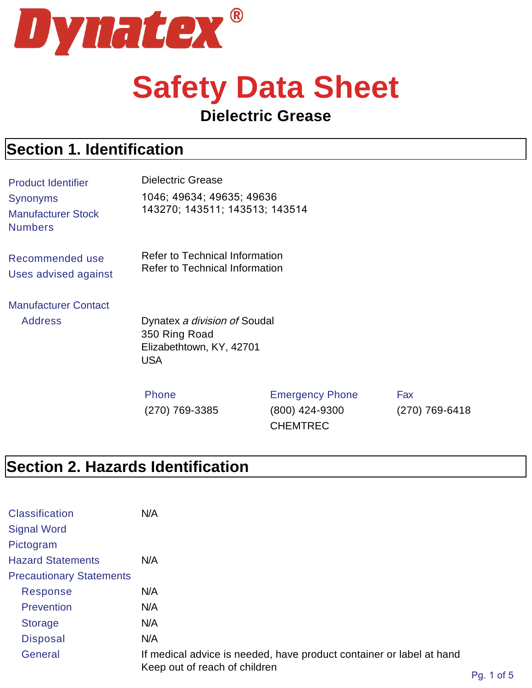

# **Safety Data Sheet**

#### **Dielectric Grease**

#### **Section 1. Identification**

| <b>Product Identifier</b>                               | <b>Dielectric Grease</b>                                                                |                                          |            |
|---------------------------------------------------------|-----------------------------------------------------------------------------------------|------------------------------------------|------------|
| Synonyms<br><b>Manufacturer Stock</b><br><b>Numbers</b> | 1046; 49634; 49635; 49636<br>143270; 143511; 143513; 143514                             |                                          |            |
| Recommended use<br>Uses advised against                 | Refer to Technical Information<br><b>Refer to Technical Information</b>                 |                                          |            |
| <b>Manufacturer Contact</b><br><b>Address</b>           | Dynatex a division of Soudal<br>350 Ring Road<br>Elizabethtown, KY, 42701<br><b>USA</b> |                                          |            |
|                                                         | <b>Phone</b><br>(270) 769-3385                                                          | <b>Emergency Phone</b><br>(800) 424-9300 | Fax<br>(27 |

0 (270) 769-6418

# **Section 2. Hazards Identification**

| <b>Classification</b>           | N/A                                                                                                   |                 |
|---------------------------------|-------------------------------------------------------------------------------------------------------|-----------------|
| <b>Signal Word</b>              |                                                                                                       |                 |
| Pictogram                       |                                                                                                       |                 |
| <b>Hazard Statements</b>        | N/A                                                                                                   |                 |
| <b>Precautionary Statements</b> |                                                                                                       |                 |
| Response                        | N/A                                                                                                   |                 |
| <b>Prevention</b>               | N/A                                                                                                   |                 |
| <b>Storage</b>                  | N/A                                                                                                   |                 |
| <b>Disposal</b>                 | N/A                                                                                                   |                 |
| General                         | If medical advice is needed, have product container or label at hand<br>Keep out of reach of children | $DA = 1$ of $E$ |

CHEMTREC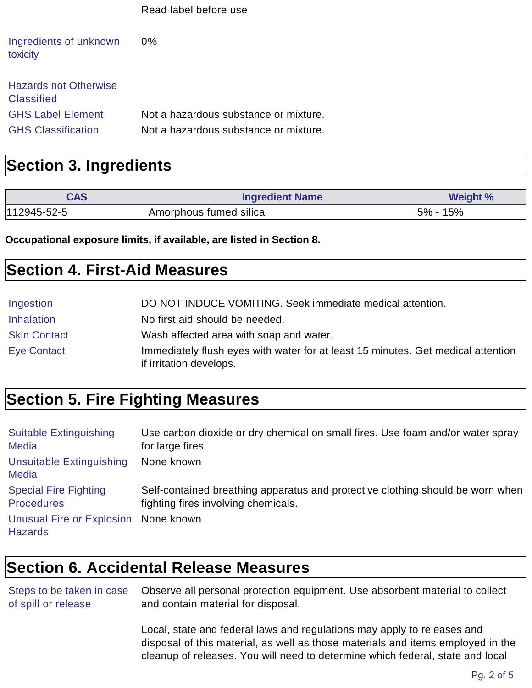|                                                   | Read label before use                 |
|---------------------------------------------------|---------------------------------------|
| Ingredients of unknown<br>toxicity                | $0\%$                                 |
| <b>Hazards not Otherwise</b><br><b>Classified</b> |                                       |
| <b>GHS Label Element</b>                          | Not a hazardous substance or mixture. |
| <b>GHS Classification</b>                         | Not a hazardous substance or mixture. |

#### **Section 3. Ingredients**

| <b>CAS</b>      | <b>Ingredient Name</b> | <b>Weight %</b> |
|-----------------|------------------------|-----------------|
| $ 112945-52-5 $ | Amorphous fumed silica | 5% - 15%        |

**Occupational exposure limits, if available, are listed in Section 8.**

#### **Section 4. First-Aid Measures**

| Ingestion           | DO NOT INDUCE VOMITING. Seek immediate medical attention.                                                   |
|---------------------|-------------------------------------------------------------------------------------------------------------|
| <b>Inhalation</b>   | No first aid should be needed.                                                                              |
| <b>Skin Contact</b> | Wash affected area with soap and water.                                                                     |
| <b>Eye Contact</b>  | Immediately flush eyes with water for at least 15 minutes. Get medical attention<br>if irritation develops. |

### **Section 5. Fire Fighting Measures**

| <b>Suitable Extinguishing</b>                          | Use carbon dioxide or dry chemical on small fires. Use foam and/or water spray |
|--------------------------------------------------------|--------------------------------------------------------------------------------|
| <b>Media</b>                                           | for large fires.                                                               |
| Unsuitable Extinguishing<br><b>Media</b>               | None known                                                                     |
| <b>Special Fire Fighting</b>                           | Self-contained breathing apparatus and protective clothing should be worn when |
| <b>Procedures</b>                                      | fighting fires involving chemicals.                                            |
| Unusual Fire or Explosion None known<br><b>Hazards</b> |                                                                                |

# **Section 6. Accidental Release Measures**

| Steps to be taken in case | Observe all personal protection equipment. Use absorbent material to collect |
|---------------------------|------------------------------------------------------------------------------|
| of spill or release       | and contain material for disposal.                                           |

Local, state and federal laws and regulations may apply to releases and disposal of this material, as well as those materials and items employed in the cleanup of releases. You will need to determine which federal, state and local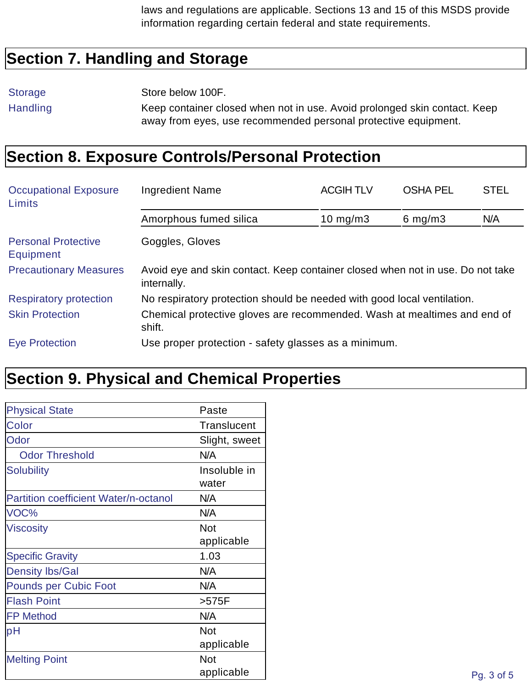laws and regulations are applicable. Sections 13 and 15 of this MSDS provide information regarding certain federal and state requirements.

#### **Section 7. Handling and Storage**

Storage Store below 100F.

Handling Keep container closed when not in use. Avoid prolonged skin contact. Keep away from eyes, use recommended personal protective equipment.

#### **Section 8. Exposure Controls/Personal Protection**

| <b>Occupational Exposure</b><br>Limits         | <b>Ingredient Name</b>                                                                        | <b>ACGIHTLV</b> | <b>OSHA PEL</b> | <b>STEL</b> |
|------------------------------------------------|-----------------------------------------------------------------------------------------------|-----------------|-----------------|-------------|
|                                                | Amorphous fumed silica                                                                        | 10 mg/m $3$     | 6 mg/m $3$      | N/A         |
| <b>Personal Protective</b><br><b>Equipment</b> | Goggles, Gloves                                                                               |                 |                 |             |
| <b>Precautionary Measures</b>                  | Avoid eye and skin contact. Keep container closed when not in use. Do not take<br>internally. |                 |                 |             |
| <b>Respiratory protection</b>                  | No respiratory protection should be needed with good local ventilation.                       |                 |                 |             |
| <b>Skin Protection</b>                         | Chemical protective gloves are recommended. Wash at mealtimes and end of<br>shift.            |                 |                 |             |
| <b>Eye Protection</b>                          | Use proper protection - safety glasses as a minimum.                                          |                 |                 |             |

### **Section 9. Physical and Chemical Properties**

| <b>Physical State</b>                 | Paste         |
|---------------------------------------|---------------|
| Color                                 | Translucent   |
| Odor                                  | Slight, sweet |
| <b>Odor Threshold</b>                 | N/A           |
| Solubility                            | Insoluble in  |
|                                       | water         |
| Partition coefficient Water/n-octanol | N/A           |
| VOC%                                  | N/A           |
| <b>Viscosity</b>                      | <b>Not</b>    |
|                                       | applicable    |
| <b>Specific Gravity</b>               | 1.03          |
| <b>Density lbs/Gal</b>                | N/A           |
| Pounds per Cubic Foot                 | N/A           |
| <b>Flash Point</b>                    | $>575F$       |
| <b>FP Method</b>                      | N/A           |
| pH                                    | <b>Not</b>    |
|                                       | applicable    |
| <b>Melting Point</b>                  | <b>Not</b>    |
|                                       | applicable    |
|                                       |               |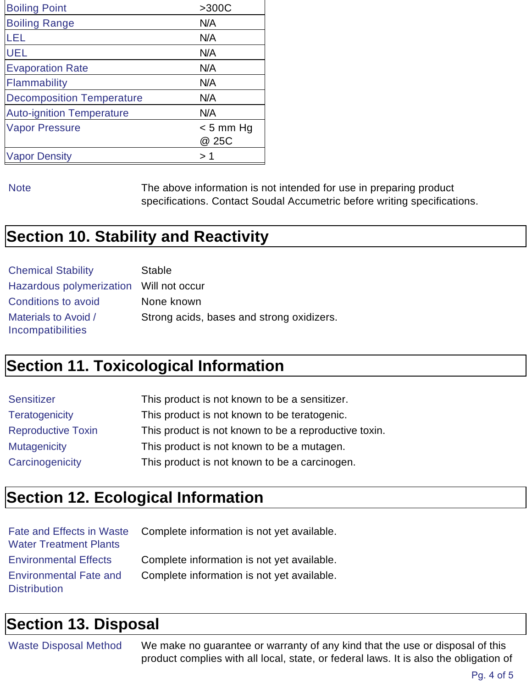| <b>Boiling Point</b>             | >300C                |
|----------------------------------|----------------------|
| <b>Boiling Range</b>             | N/A                  |
| LEL                              | N/A                  |
| <b>UEL</b>                       | N/A                  |
| <b>Evaporation Rate</b>          | N/A                  |
| Flammability                     | N/A                  |
| <b>Decomposition Temperature</b> | N/A                  |
| <b>Auto-ignition Temperature</b> | N/A                  |
| <b>Vapor Pressure</b>            | $< 5$ mm Hg<br>@ 25C |
| <b>Vapor Density</b>             | > 1                  |
|                                  |                      |

Note The above information is not intended for use in preparing product specifications. Contact Soudal Accumetric before writing specifications.

# **Section 10. Stability and Reactivity**

| <b>Chemical Stability</b> | <b>Stable</b>                             |
|---------------------------|-------------------------------------------|
|                           |                                           |
| Conditions to avoid       | None known                                |
| Materials to Avoid /      | Strong acids, bases and strong oxidizers. |
| Incompatibilities         |                                           |

#### **Section 11. Toxicological Information**

| This product is not known to be a sensitizer.         |
|-------------------------------------------------------|
| This product is not known to be teratogenic.          |
| This product is not known to be a reproductive toxin. |
| This product is not known to be a mutagen.            |
| This product is not known to be a carcinogen.         |
|                                                       |

### **Section 12. Ecological Information**

| <b>Water Treatment Plants</b> | Fate and Effects in Waste Complete information is not yet available. |
|-------------------------------|----------------------------------------------------------------------|
| <b>Environmental Effects</b>  | Complete information is not yet available.                           |
| <b>Environmental Fate and</b> | Complete information is not yet available.                           |
| <b>Distribution</b>           |                                                                      |

#### **Section 13. Disposal**

Waste Disposal Method We make no guarantee or warranty of any kind that the use or disposal of this product complies with all local, state, or federal laws. It is also the obligation of